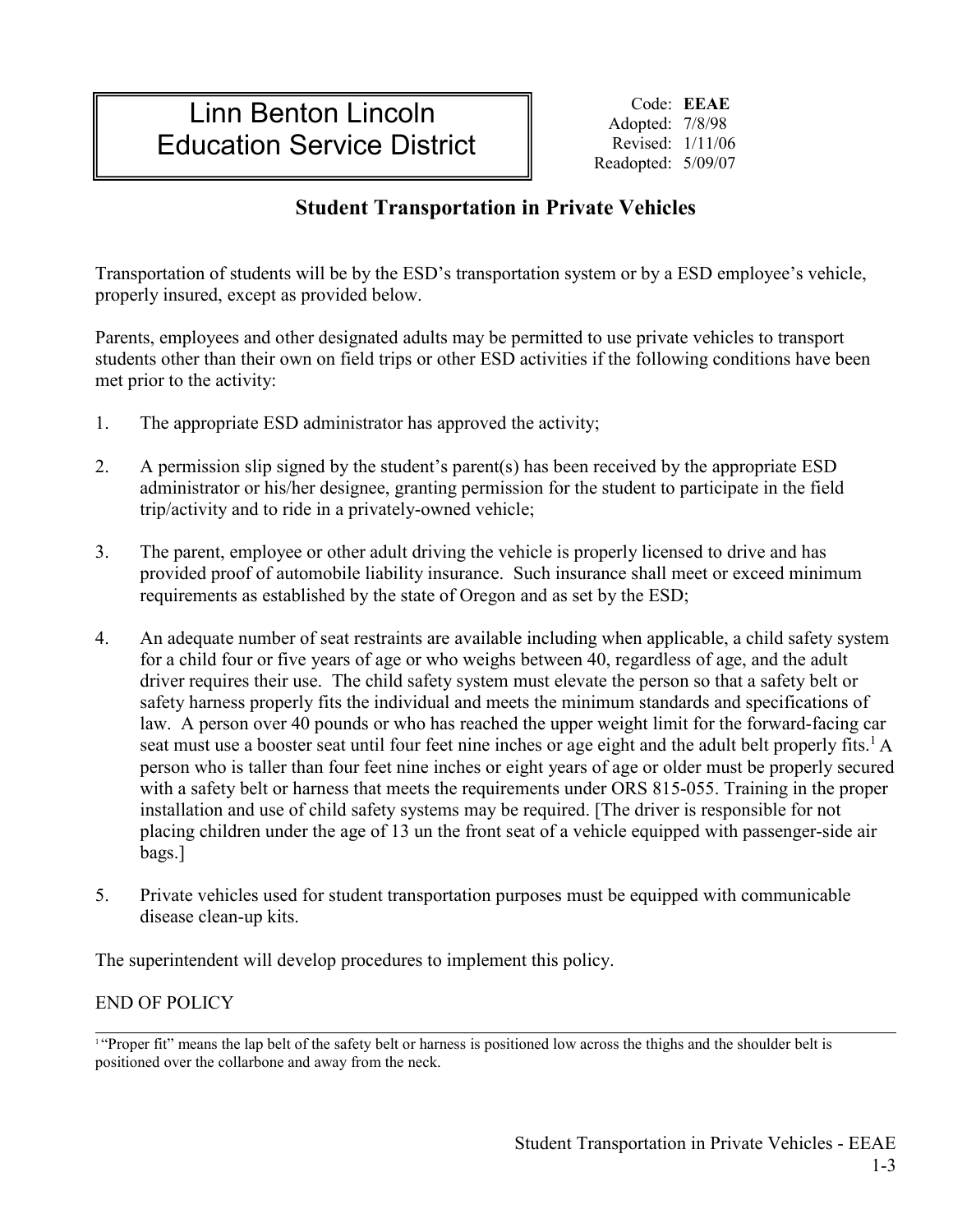## Linn Benton Lincoln Education Service District

Code: **EEAE** Adopted: 7/8/98 Revised: 1/11/06 Readopted: 5/09/07

## **Student Transportation in Private Vehicles**

Transportation of students will be by the ESD's transportation system or by a ESD employee's vehicle, properly insured, except as provided below.

Parents, employees and other designated adults may be permitted to use private vehicles to transport students other than their own on field trips or other ESD activities if the following conditions have been met prior to the activity:

- 1. The appropriate ESD administrator has approved the activity;
- 2. A permission slip signed by the student's parent(s) has been received by the appropriate ESD administrator or his/her designee, granting permission for the student to participate in the field trip/activity and to ride in a privately-owned vehicle;
- 3. The parent, employee or other adult driving the vehicle is properly licensed to drive and has provided proof of automobile liability insurance. Such insurance shall meet or exceed minimum requirements as established by the state of Oregon and as set by the ESD;
- 4. An adequate number of seat restraints are available including when applicable, a child safety system for a child four or five years of age or who weighs between 40, regardless of age, and the adult driver requires their use. The child safety system must elevate the person so that a safety belt or safety harness properly fits the individual and meets the minimum standards and specifications of law. A person over 40 pounds or who has reached the upper weight limit for the forward-facing car seat must use a booster seat until four feet nine inches or age eight and the adult belt properly fits.<sup>1</sup> A person who is taller than four feet nine inches or eight years of age or older must be properly secured with a safety belt or harness that meets the requirements under ORS 815-055. Training in the proper installation and use of child safety systems may be required. [The driver is responsible for not placing children under the age of 13 un the front seat of a vehicle equipped with passenger-side air bags.]
- 5. Private vehicles used for student transportation purposes must be equipped with communicable disease clean-up kits.

The superintendent will develop procedures to implement this policy.

## END OF POLICY

<sup>&</sup>lt;sup>1</sup> "Proper fit" means the lap belt of the safety belt or harness is positioned low across the thighs and the shoulder belt is positioned over the collarbone and away from the neck.